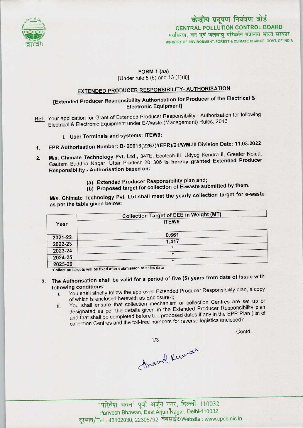

# केन्द्रीय प्रदूषण नियंत्रण बोर्ड CENTRAL POLLUTION CONTROL BOARD<br>पर्यावरण, वन एवं जलवाय परिवर्तन मंत्रालय भारत सरकार MINISTRY OF ENVIRONMENT, FOREST S CLIMATE CHANGE GOVT. OF INDIA

### FORM 1 (aa)

[Under rule 5 (6) and 13 (1)(ii)l

## EXTENDED PRODUCER RESPONSIBILITY-AUTHORISATION

### [Extended Producer Responsibility Authorisation for Producer of the Electrical & Electronic Equipment]

- Ref: Your application for Grant of Extended Producer Responsibility Authorisation for following Electrical & Electronic Equipment under E-Waste (Management) Rules, 2016
	- I. User Terminals and systems: ITEW9:
- 1. EPR Authorisation Number: B- 29016(2267)/(EPR)/21/WM-lll Division Date: 11.03.2022
- M/s. Chimate Technology Pvt. Ltd., 347E, Ecotech-lll, Udyog Kendra-ll, Greater Noida,  $2.$ Gautam Buddha Nagar, Uttar Pradesh-201306 is hereby granted Extended Producer Responsibility - Authorisation based on:
	- (a)Extended Producer Responsibility plan and;
	- (b) Proposed target for collection of E-waste submitted by them.

M/s. Chimate Technology Pvt. Ltd shall meet the yearly collection target for e-waste as per the table given below:

|         | <b>Collection Target of EEE in Weight (MT)</b> |
|---------|------------------------------------------------|
| Year    | ITEW9                                          |
| 2021-22 | 0.661                                          |
| 2022-23 | 1.417                                          |
| 2023-24 | $\star$                                        |
| 2024-25 | $\star$                                        |
| 2025-26 | $\star$                                        |

\*Collection targets will be fixed after submission of sales data

## 3. The Authorisation shall be valid for a period of five (5) years from date of issue with following conditions:

- i. You shall strictly follow the approved Extended Producer Responsibility plan, <sup>a</sup> copy of which is enclosed herewith as Enclosure-I;
- ii. You shall ensure that collection mechanism or collection Centres are set up or designated as per the details given in the Extended Producer Responsibility plan and that shall be completed before the proposed dates if any in the EPR Plan (list of collection Centres and the toll-free numbers for reverse logistics enclosed);

Contd...

Anavel Kuwar

,<br>'परिवेश भवन' पूर्वी अर्जुन नगर, दिल्ली-110032<br>Parivesh Bhawan, East Arjun Nagar, Delhi-110032

दूरभाष/Tel: 43102030, 22305792, वेबसाईट/Website : www.cpcb.nic.in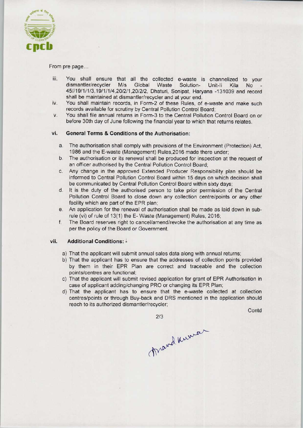

From pre page...

- iii. You shall ensure that all the collected e-waste is channelized to your Fou shall ensure that all the collected e-waste is channelized to your<br>dismantler/recycler M/s Global Waste Solution- Unit-li Kila No dismantler/recycler M/s Global Waste Solution- Unit-li Kila No -<br>45//19/1/1/3,19/1/1/4,20/2/1,20/2/2, Dhaturi, Sonipat, Haryana -131039 and record shall be maintained at dismantler/recycler and at your end.
- iv. You shall maintain records, in Form-2 of these Rules, of e-waste and make such records available for scrutiny by Central Pollution Control Board;
- v. You shall file annual returnsin Form-3 to the Central Pollution Control Board on or before 30th day of June following the financial year to which that returns relates.

### vi. General Terms & Conditions of the Authorisation:

- a.The authorisation shall comply with provisions ofthe Environment (Protection) Act, 1986 and the E-waste (Management) Rules, 2016 made there under;
- b.The authorisation or its renewal shall be produced for inspection at the request of an officer authorised by the Central Pollution Control Board;
- c.Any change in the approved Extended Producer Responsibility plan should be informed to Central Pollution Control Board within 15 days on which decision shall be communicated by Central Pollution Control Board within sixty days;
- d. It is the duty of the authorised person to take prior permission of the Central Pollution Control Board to close down any collection centre/points or any other facility which are part of the EPR plan;
- e.An application for the renewal of authorisation shall be made aslaid down in subrule (vi) of rule of 13(1) the E- Waste (Management) Rules, 2016;
- f. The Board reserves right to cancel/amend/revoke the authorisation at any time as per the policy of the Board or Government.

### vii. Additional Conditions: -

- a) That the applicant will submit annual sales data along with annual returns;
- b) That the applicant has to ensure that the addresses of collection points provided by them in their EPR Plan are correct and traceable and the collection points/centres are functional;
- c) That the applicant will submit revised application for grant of EPR Authorisation in case of applicant adding/changing PRO or changing its EPR Plan;
- d)That the applicant has to ensure that the e-waste collected at collection centres/points or through Buy-back and DRS mentioned in the application should reach to its authorized dismantler/recycler;

**Contd** 

2/3<br>Mard Kurran